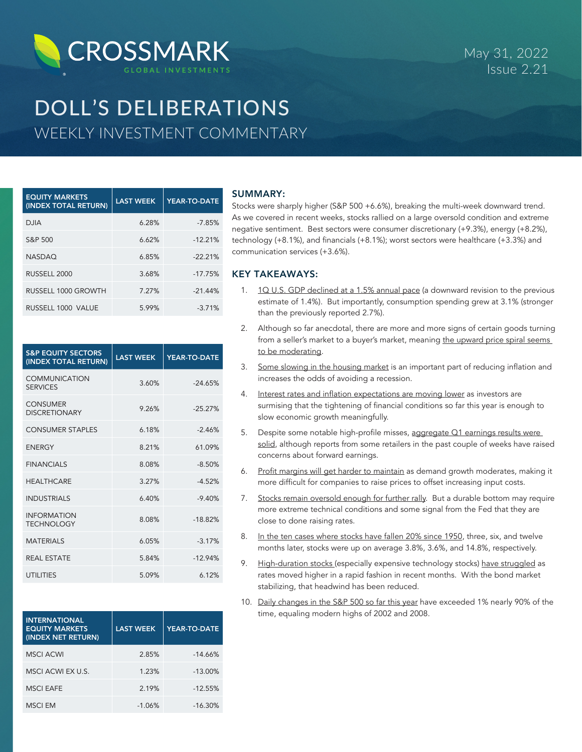

# DOLL'S DELIBERATIONS WEEKLY INVESTMENT COMMENTARY

| <b>EQUITY MARKETS</b><br>(INDEX TOTAL RETURN) | <b>LAST WEEK</b> | YEAR-TO-DATE |
|-----------------------------------------------|------------------|--------------|
| <b>DJIA</b>                                   | 6.28%            | $-7.85%$     |
| S&P 500                                       | 6.62%            | $-12.21%$    |
| <b>NASDAQ</b>                                 | 6.85%            | $-22.21%$    |
| RUSSELL 2000                                  | 3.68%            | $-17.75%$    |
| RUSSELL 1000 GROWTH                           | 7.27%            | $-21.44%$    |
| RUSSELL 1000 VALUE                            | 5.99%            | $-3.71%$     |

| <b>S&amp;P EQUITY SECTORS</b><br>(INDEX TOTAL RETURN) | <b>LAST WEEK</b> | <b>YEAR-TO-DATE</b> |
|-------------------------------------------------------|------------------|---------------------|
| <b>COMMUNICATION</b><br><b>SERVICES</b>               | 3.60%            | $-24.65%$           |
| <b>CONSUMER</b><br><b>DISCRETIONARY</b>               | 9.26%            | $-25.27%$           |
| <b>CONSUMER STAPLES</b>                               | 6.18%            | $-2.46%$            |
| <b>ENERGY</b>                                         | 8.21%            | 61.09%              |
| <b>FINANCIALS</b>                                     | 8.08%            | $-8.50%$            |
| <b>HEALTHCARE</b>                                     | 3.27%            | $-4.52%$            |
| <b>INDUSTRIALS</b>                                    | 6.40%            | $-9.40%$            |
| <b>INFORMATION</b><br><b>TECHNOLOGY</b>               | 8.08%            | $-18.82%$           |
| <b>MATFRIALS</b>                                      | 6.05%            | $-3.17%$            |
| <b>REAL ESTATE</b>                                    | 5.84%            | $-12.94%$           |
| <b>UTILITIES</b>                                      | 5.09%            | 6.12%               |

| <b>INTERNATIONAL</b><br><b>EQUITY MARKETS</b><br>(INDEX NET RETURN) | <b>LAST WEEK</b> | YEAR-TO-DATE |
|---------------------------------------------------------------------|------------------|--------------|
| <b>MSCI ACWI</b>                                                    | 2.85%            | $-14.66%$    |
| MSCI ACWI EX U.S.                                                   | 1.23%            | $-13.00%$    |
| <b>MSCI EAFE</b>                                                    | 2.19%            | $-12.55%$    |
| MSCI FM                                                             | $-1.06%$         | $-16.30%$    |

# SUMMARY:

Stocks were sharply higher (S&P 500 +6.6%), breaking the multi-week downward trend. As we covered in recent weeks, stocks rallied on a large oversold condition and extreme negative sentiment. Best sectors were consumer discretionary (+9.3%), energy (+8.2%), technology (+8.1%), and financials (+8.1%); worst sectors were healthcare (+3.3%) and communication services (+3.6%).

# KEY TAKEAWAYS:

- 1. 10 U.S. GDP declined at a 1.5% annual pace (a downward revision to the previous estimate of 1.4%). But importantly, consumption spending grew at 3.1% (stronger than the previously reported 2.7%).
- 2. Although so far anecdotal, there are more and more signs of certain goods turning from a seller's market to a buyer's market, meaning the upward price spiral seems to be moderating.
- 3. Some slowing in the housing market is an important part of reducing inflation and increases the odds of avoiding a recession.
- 4. Interest rates and inflation expectations are moving lower as investors are surmising that the tightening of financial conditions so far this year is enough to slow economic growth meaningfully.
- 5. Despite some notable high-profile misses, aggregate Q1 earnings results were solid, although reports from some retailers in the past couple of weeks have raised concerns about forward earnings.
- 6. Profit margins will get harder to maintain as demand growth moderates, making it more difficult for companies to raise prices to offset increasing input costs.
- 7. Stocks remain oversold enough for further rally. But a durable bottom may require more extreme technical conditions and some signal from the Fed that they are close to done raising rates.
- 8. In the ten cases where stocks have fallen 20% since 1950, three, six, and twelve months later, stocks were up on average 3.8%, 3.6%, and 14.8%, respectively.
- 9. High-duration stocks (especially expensive technology stocks) have struggled as rates moved higher in a rapid fashion in recent months. With the bond market stabilizing, that headwind has been reduced.
- 10. Daily changes in the S&P 500 so far this year have exceeded 1% nearly 90% of the time, equaling modern highs of 2002 and 2008.